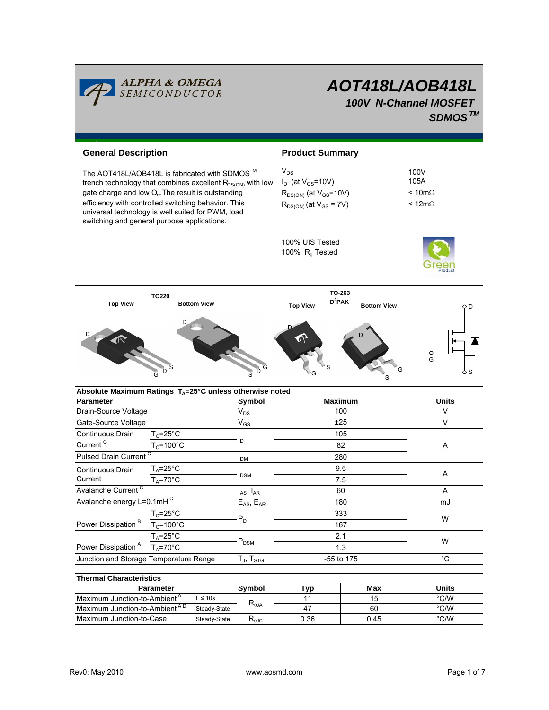

# *AOT418L/AOB418L 100V N-Channel MOSFET SDMOSTM*

| <b>General Description</b>                                                                                                                                                                                                                                                                                                          |                       |                                               | <b>Product Summary</b>                                                                                     |                    |                                                        |  |
|-------------------------------------------------------------------------------------------------------------------------------------------------------------------------------------------------------------------------------------------------------------------------------------------------------------------------------------|-----------------------|-----------------------------------------------|------------------------------------------------------------------------------------------------------------|--------------------|--------------------------------------------------------|--|
| The AOT418L/AOB418L is fabricated with SDMOS™<br>trench technology that combines excellent $R_{DS(ON)}$ with low<br>gate charge and low $Qr$ . The result is outstanding<br>efficiency with controlled switching behavior. This<br>universal technology is well suited for PWM, load<br>switching and general purpose applications. |                       |                                               | $V_{DS}$<br>$I_D$ (at $V_{GS}$ =10V)<br>$R_{DS(ON)}$ (at $V_{GS}$ =10V)<br>$R_{DS(ON)}$ (at $V_{GS}$ = 7V) |                    | 100V<br>105A<br>$< 10 \text{m}\Omega$<br>$< 12m\Omega$ |  |
|                                                                                                                                                                                                                                                                                                                                     |                       | 100% UIS Tested<br>100% R <sub>g</sub> Tested |                                                                                                            |                    |                                                        |  |
| TO220<br><b>Top View</b>                                                                                                                                                                                                                                                                                                            | <b>Bottom View</b>    |                                               | TO-263<br>$D^2$ PAK<br><b>Top View</b>                                                                     | <b>Bottom View</b> | o D                                                    |  |
|                                                                                                                                                                                                                                                                                                                                     |                       |                                               |                                                                                                            |                    | G                                                      |  |
| Absolute Maximum Ratings T <sub>A</sub> =25°C unless otherwise noted                                                                                                                                                                                                                                                                |                       |                                               |                                                                                                            |                    |                                                        |  |
| <b>Parameter</b>                                                                                                                                                                                                                                                                                                                    |                       | <b>Symbol</b>                                 | <b>Maximum</b><br>100                                                                                      |                    | <b>Units</b><br>$\vee$                                 |  |
| Drain-Source Voltage<br>Gate-Source Voltage                                                                                                                                                                                                                                                                                         |                       | $\mathsf{V}_{\mathsf{DS}}$<br>$V_{GS}$        | ±25                                                                                                        |                    | $\vee$                                                 |  |
| Continuous Drain                                                                                                                                                                                                                                                                                                                    | $T_c = 25$ °C         |                                               | 105<br>82<br>280                                                                                           |                    | Α                                                      |  |
| Current <sup>G</sup>                                                                                                                                                                                                                                                                                                                | $T_c = 100^{\circ}$ C | ΙD                                            |                                                                                                            |                    |                                                        |  |
| <b>Pulsed Drain Current</b>                                                                                                                                                                                                                                                                                                         |                       |                                               |                                                                                                            |                    |                                                        |  |
| $T_A = 25^\circ C$                                                                                                                                                                                                                                                                                                                  |                       | I <sub>DM</sub>                               | 9.5                                                                                                        |                    |                                                        |  |
| Continuous Drain<br>Current                                                                                                                                                                                                                                                                                                         | $T_A = 70$ °C         | <b>I</b> <sub>DSM</sub>                       | 7.5                                                                                                        |                    | Α                                                      |  |
| Avalanche Current <sup>C</sup>                                                                                                                                                                                                                                                                                                      |                       | $I_{AS}$ , $I_{AR}$                           | 60                                                                                                         |                    | A                                                      |  |
| Avalanche energy L=0.1mHC                                                                                                                                                                                                                                                                                                           |                       | $E_{AS}$ , $E_{AR}$                           | 180                                                                                                        |                    | mJ                                                     |  |
|                                                                                                                                                                                                                                                                                                                                     | $T_c = 25$ °C         | $P_D$                                         | 333                                                                                                        |                    |                                                        |  |
| Power Dissipation <sup>B</sup>                                                                                                                                                                                                                                                                                                      | $T_c = 100^{\circ}$ C |                                               | 167                                                                                                        |                    | W                                                      |  |
|                                                                                                                                                                                                                                                                                                                                     | $T_A = 25^{\circ}C$   |                                               | 2.1                                                                                                        |                    |                                                        |  |
| Power Dissipation <sup>A</sup>                                                                                                                                                                                                                                                                                                      | $T_A = 70$ °C         | $\mathsf{P}_\mathsf{DSM}$                     | 1.3                                                                                                        |                    | W                                                      |  |
| Junction and Storage Temperature Range<br>$T_{\sf J}$ , $T_{\sf STG}$                                                                                                                                                                                                                                                               |                       |                                               | -55 to 175                                                                                                 |                    | $^{\circ}C$                                            |  |
|                                                                                                                                                                                                                                                                                                                                     |                       |                                               |                                                                                                            |                    |                                                        |  |

| <b>Thermal Characteristics</b>            |              |                                   |      |      |       |  |  |  |
|-------------------------------------------|--------------|-----------------------------------|------|------|-------|--|--|--|
| <b>Parameter</b>                          |              | Svmbol                            | TVD  | Max  | Units |  |  |  |
| Maximum Junction-to-Ambient <sup>A</sup>  | $t \leq 10s$ | $\mathsf{R}_{\theta \mathsf{JA}}$ |      | 15   | °C/W  |  |  |  |
| Maximum Junction-to-Ambient <sup>AD</sup> | Steady-State |                                   | 47   | 60   | °C/W  |  |  |  |
| Maximum Junction-to-Case                  | Steady-State | $R_{0,IC}$                        | 0.36 | 0.45 | °C/W  |  |  |  |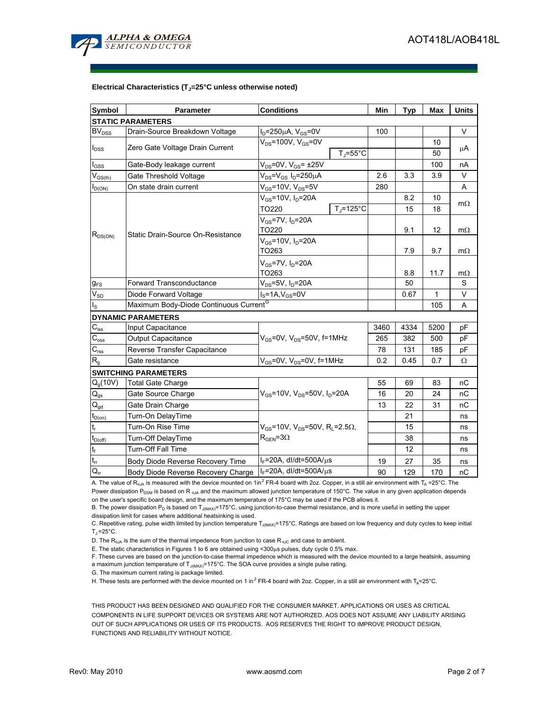

#### Electrical Characteristics (T<sub>J</sub>=25°C unless otherwise noted)

| Symbol                                       | Parameter                                          | <b>Conditions</b>                                                   | Min  | <b>Typ</b> | <b>Max</b> | <b>Units</b> |
|----------------------------------------------|----------------------------------------------------|---------------------------------------------------------------------|------|------------|------------|--------------|
|                                              | <b>STATIC PARAMETERS</b>                           |                                                                     |      |            |            |              |
| BV <sub>DSS</sub>                            | Drain-Source Breakdown Voltage                     | $I_D = 250 \mu A$ , $V_{GS} = 0V$                                   | 100  |            |            | $\vee$       |
| Zero Gate Voltage Drain Current<br>$I_{DSS}$ |                                                    | $V_{DS}$ =100V, $V_{GS}$ =0V                                        |      |            | 10         | μA           |
|                                              |                                                    | $T_J = 55^{\circ}C$                                                 |      |            | 50         |              |
| $I_{\rm GSS}$                                | Gate-Body leakage current                          | $V_{DS}$ =0V, $V_{GS}$ = ±25V                                       |      |            | 100        | nA           |
| $V_{GS(th)}$                                 | Gate Threshold Voltage                             | $V_{DS} = V_{GS} I_D = 250 \mu A$                                   | 2.6  | 3.3        | 3.9        | V            |
| $I_{D(ON)}$                                  | On state drain current                             | $V_{GS}$ =10V, $V_{DS}$ =5V                                         | 280  |            |            | A            |
| $R_{DS(ON)}$                                 | Static Drain-Source On-Resistance                  | $V_{GS} = 10V$ , $I_D = 20A$                                        |      | 8.2        | 10         | $m\Omega$    |
|                                              |                                                    | $T = 125^{\circ}C$<br>TO220                                         |      | 15         | 18         |              |
|                                              |                                                    | $V_{GS}$ =7V, $I_D$ =20A                                            |      |            |            |              |
|                                              |                                                    | TO220                                                               |      | 9.1        | 12         | $m\Omega$    |
|                                              |                                                    | $V_{GS}$ =10V, $I_D$ =20A                                           |      |            |            |              |
|                                              |                                                    | TO263                                                               |      | 7.9        | 9.7        | $m\Omega$    |
|                                              |                                                    | $V_{GS}$ =7V, $I_D$ =20A                                            |      |            |            |              |
|                                              |                                                    |                                                                     | 8.8  | 11.7       | $m\Omega$  |              |
| $g_{FS}$                                     | Forward Transconductance                           | $V_{DS}$ =5V, $I_D$ =20A                                            |      | 50         |            | S            |
| $\mathsf{V}_{\mathsf{SD}}$                   | Diode Forward Voltage                              | $I_S = 1A$ , $V_{GS} = 0V$                                          |      | 0.67       | 1          | V            |
| ءِا                                          | Maximum Body-Diode Continuous Current <sup>G</sup> |                                                                     |      |            | 105        | A            |
|                                              | <b>DYNAMIC PARAMETERS</b>                          |                                                                     |      |            |            |              |
| $C_{iss}$                                    | Input Capacitance                                  |                                                                     | 3460 | 4334       | 5200       | рF           |
| $\mathsf{C}_{\text{oss}}$                    | Output Capacitance                                 | $V_{GS}$ =0V, $V_{DS}$ =50V, f=1MHz                                 | 265  | 382        | 500        | рF           |
| $C_{\rm rss}$                                | Reverse Transfer Capacitance                       |                                                                     | 78   | 131        | 185        | рF           |
| $R_{q}$                                      | Gate resistance                                    | $V_{GS}$ =0V, $V_{DS}$ =0V, f=1MHz                                  | 0.2  | 0.45       | 0.7        | Ω            |
|                                              | <b>SWITCHING PARAMETERS</b>                        |                                                                     |      |            |            |              |
| $Q_q(10V)$                                   | <b>Total Gate Charge</b>                           |                                                                     | 55   | 69         | 83         | nС           |
| $Q_{gs}$                                     | Gate Source Charge                                 | $V_{GS}$ =10V, $V_{DS}$ =50V, $I_D$ =20A                            | 16   | 20         | 24         | nC           |
| $Q_{gd}$                                     | Gate Drain Charge                                  |                                                                     | 13   | 22         | 31         | nС           |
| $t_{D(0n)}$                                  | Turn-On DelayTime                                  |                                                                     |      | 21         |            | ns           |
|                                              | Turn-On Rise Time                                  | $V_{GS}$ =10V, V <sub>DS</sub> =50V, R <sub>L</sub> =2.5 $\Omega$ , |      | 15         |            | ns           |
| $t_{D(off)}$                                 | Turn-Off DelayTime                                 | $R_{\text{GEN}} = 3\Omega$                                          |      | 38         |            | ns           |
| $\mathsf{t}_{\mathsf{f}}$                    | <b>Turn-Off Fall Time</b>                          |                                                                     |      | 12         |            | ns           |
| $t_{rr}$                                     | Body Diode Reverse Recovery Time                   | $I_F = 20A$ , dl/dt=500A/ $\mu$ s                                   | 19   | 27         | 35         | ns           |
| $Q_{rr}$                                     | Body Diode Reverse Recovery Charge                 | I <sub>F</sub> =20A, dl/dt=500A/us                                  | 90   | 129        | 170        | nС           |

A. The value of R<sub>θJA</sub> is measured with the device mounted on 1in<sup>2</sup> FR-4 board with 2oz. Copper, in a still air environment with T<sub>A</sub> =25°C. The Power dissipation P<sub>DSM</sub> is based on R <sub>θJA</sub> and the maximum allowed junction temperature of 150°C. The value in any given application depends on the user's specific board design, and the maximum temperature of 175°C may be used if the PCB allows it.

B. The power dissipation  $P_D$  is based on  $T_{J(MAX)}$ =175°C, using junction-to-case thermal resistance, and is more useful in setting the upper dissipation limit for cases where additional heatsinking is used.

C. Repetitive rating, pulse width limited by junction temperature T<sub>J(MAX)</sub>=175°C. Ratings are based on low frequency and duty cycles to keep initial  $T_J = 25^\circ C$ .

D. The  $R_{\theta JA}$  is the sum of the thermal impedence from junction to case  $R_{\theta JC}$  and case to ambient.

E. The static characteristics in Figures 1 to 6 are obtained using <300µs pulses, duty cycle 0.5% max.

F. These curves are based on the junction-to-case thermal impedence which is measured with the device mounted to a large heatsink, assuming a maximum junction temperature of  $T_{J(MAX)}$ =175°C. The SOA curve provides a single pulse rating.

G. The maximum current rating is package limited.

H. These tests are performed with the device mounted on 1 in<sup>2</sup> FR-4 board with 2oz. Copper, in a still air environment with T<sub>A</sub>=25°C.

THIS PRODUCT HAS BEEN DESIGNED AND QUALIFIED FOR THE CONSUMER MARKET. APPLICATIONS OR USES AS CRITICAL COMPONENTS IN LIFE SUPPORT DEVICES OR SYSTEMS ARE NOT AUTHORIZED. AOS DOES NOT ASSUME ANY LIABILITY ARISING OUT OF SUCH APPLICATIONS OR USES OF ITS PRODUCTS. AOS RESERVES THE RIGHT TO IMPROVE PRODUCT DESIGN, FUNCTIONS AND RELIABILITY WITHOUT NOTICE.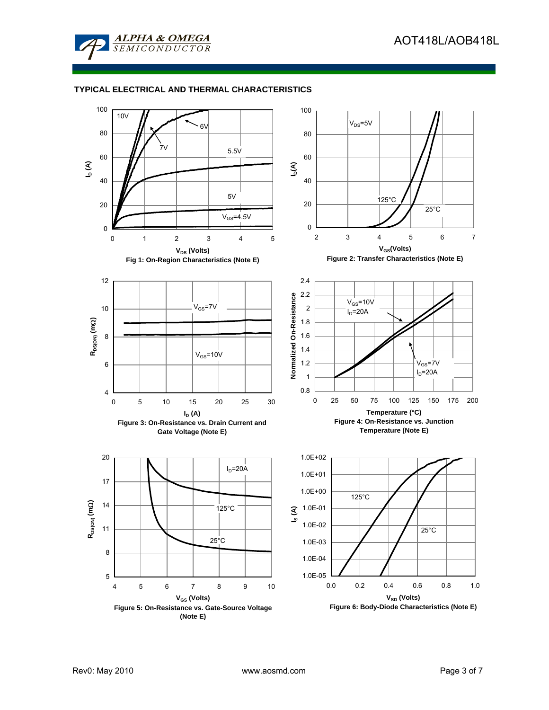

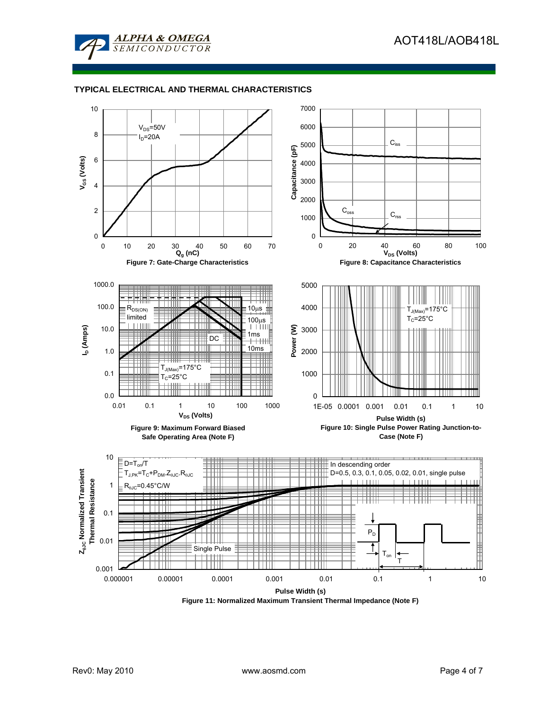



**Figure 11: Normalized Maximum Transient Thermal Impedance (Note F)**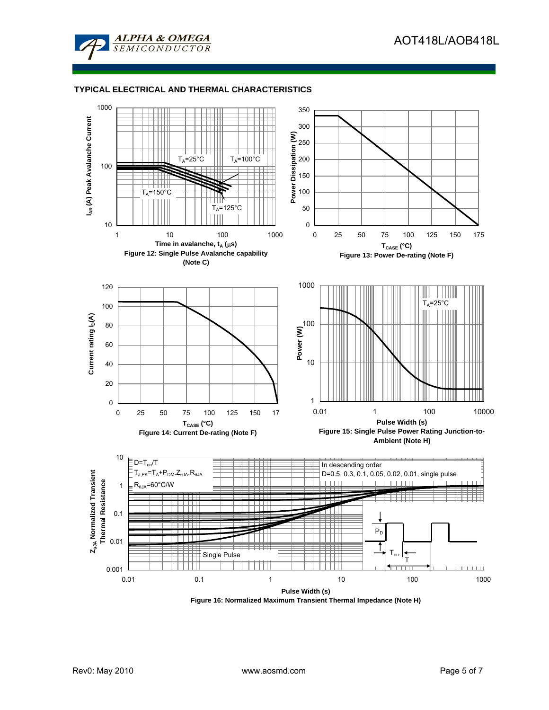



**Figure 16: Normalized Maximum Transient Thermal Impedance (Note H)**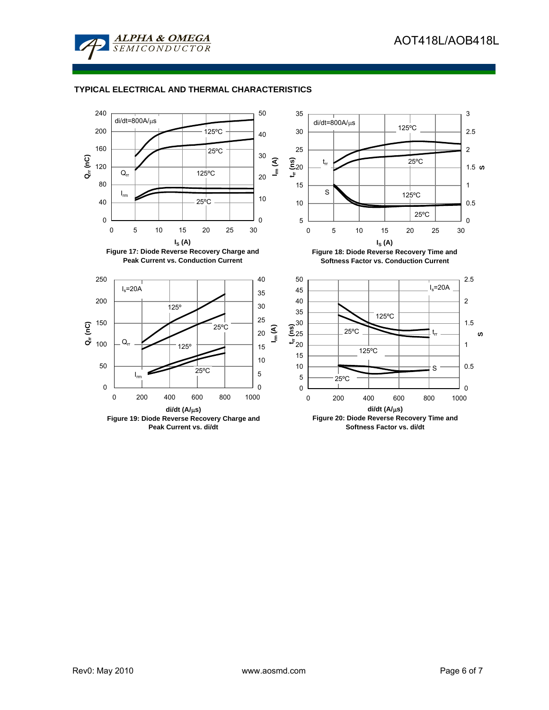